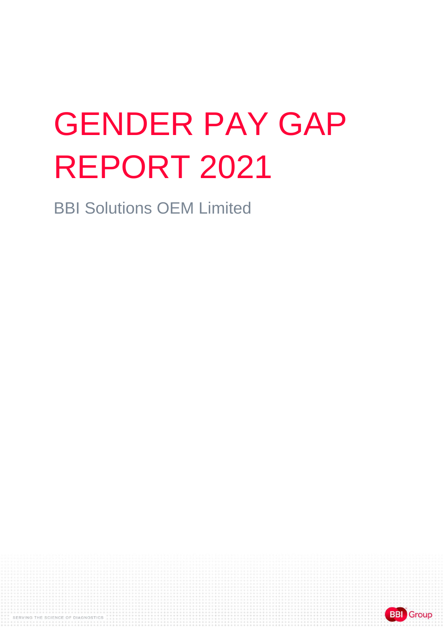# GENDER PAY GAP REPORT 2021

BBI Solutions OEM Limited

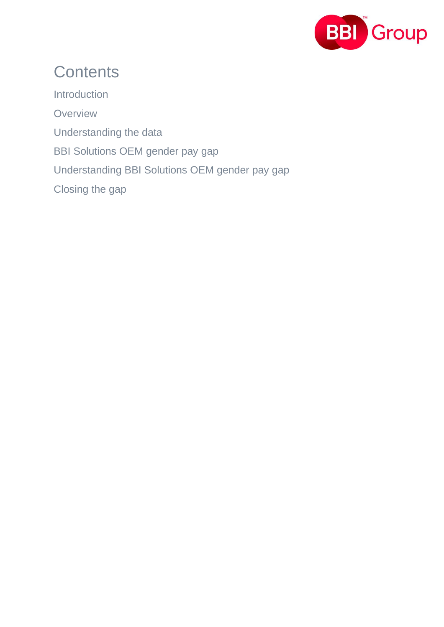

#### **Contents**

**Introduction Overview** Understanding the data BBI Solutions OEM gender pay gap Understanding BBI Solutions OEM gender pay gap Closing the gap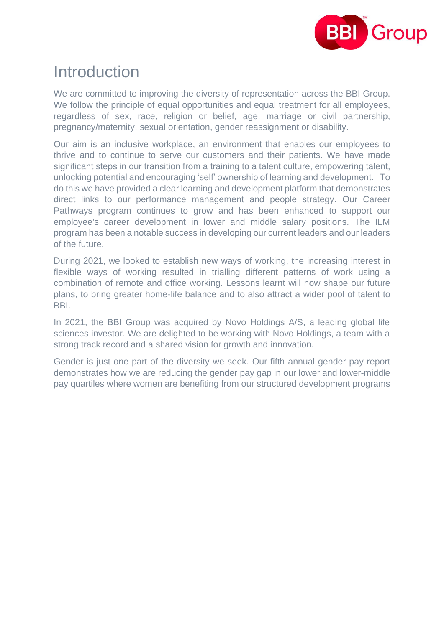

#### Introduction

We are committed to improving the diversity of representation across the BBI Group. We follow the principle of equal opportunities and equal treatment for all employees, regardless of sex, race, religion or belief, age, marriage or civil partnership, pregnancy/maternity, sexual orientation, gender reassignment or disability.

Our aim is an inclusive workplace, an environment that enables our employees to thrive and to continue to serve our customers and their patients. We have made significant steps in our transition from a training to a talent culture, empowering talent, unlocking potential and encouraging 'self' ownership of learning and development. To do this we have provided a clear learning and development platform that demonstrates direct links to our performance management and people strategy. Our Career Pathways program continues to grow and has been enhanced to support our employee's career development in lower and middle salary positions. The ILM program has been a notable success in developing our current leaders and our leaders of the future.

During 2021, we looked to establish new ways of working, the increasing interest in flexible ways of working resulted in trialling different patterns of work using a combination of remote and office working. Lessons learnt will now shape our future plans, to bring greater home-life balance and to also attract a wider pool of talent to BBI.

In 2021, the BBI Group was acquired by Novo Holdings A/S, a leading global life sciences investor. We are delighted to be working with Novo Holdings, a team with a strong track record and a shared vision for growth and innovation.

Gender is just one part of the diversity we seek. Our fifth annual gender pay report demonstrates how we are reducing the gender pay gap in our lower and lower-middle pay quartiles where women are benefiting from our structured development programs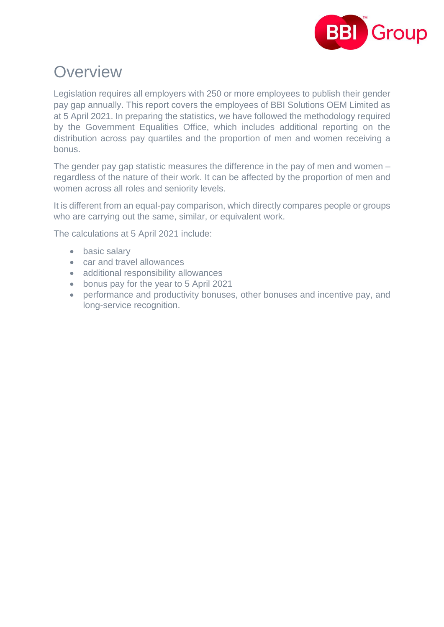

#### **Overview**

Legislation requires all employers with 250 or more employees to publish their gender pay gap annually. This report covers the employees of BBI Solutions OEM Limited as at 5 April 2021. In preparing the statistics, we have followed the methodology required by the Government Equalities Office, which includes additional reporting on the distribution across pay quartiles and the proportion of men and women receiving a bonus.

The gender pay gap statistic measures the difference in the pay of men and women – regardless of the nature of their work. It can be affected by the proportion of men and women across all roles and seniority levels.

It is different from an equal-pay comparison, which directly compares people or groups who are carrying out the same, similar, or equivalent work.

The calculations at 5 April 2021 include:

- basic salary
- car and travel allowances
- additional responsibility allowances
- bonus pay for the year to 5 April 2021
- performance and productivity bonuses, other bonuses and incentive pay, and long-service recognition.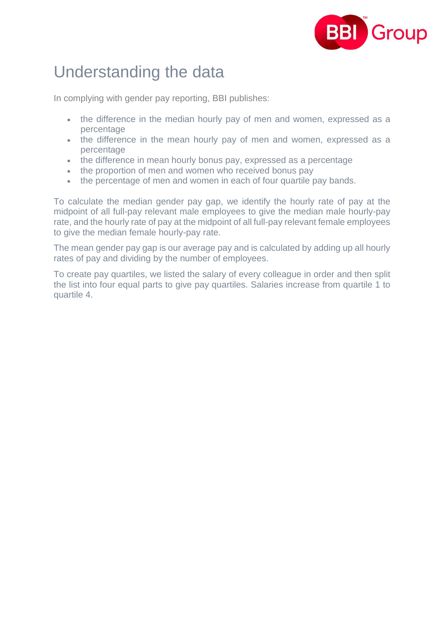

#### Understanding the data

In complying with gender pay reporting, BBI publishes:

- the difference in the median hourly pay of men and women, expressed as a percentage
- the difference in the mean hourly pay of men and women, expressed as a percentage
- the difference in mean hourly bonus pay, expressed as a percentage
- the proportion of men and women who received bonus pay
- the percentage of men and women in each of four quartile pay bands.

To calculate the median gender pay gap, we identify the hourly rate of pay at the midpoint of all full-pay relevant male employees to give the median male hourly-pay rate, and the hourly rate of pay at the midpoint of all full-pay relevant female employees to give the median female hourly-pay rate.

The mean gender pay gap is our average pay and is calculated by adding up all hourly rates of pay and dividing by the number of employees.

To create pay quartiles, we listed the salary of every colleague in order and then split the list into four equal parts to give pay quartiles. Salaries increase from quartile 1 to quartile 4.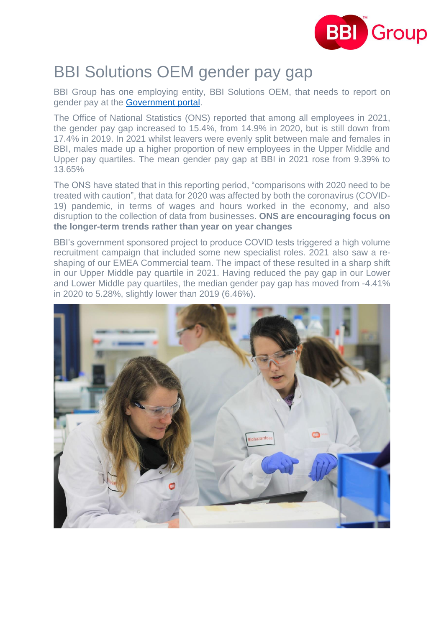

### BBI Solutions OEM gender pay gap

BBI Group has one employing entity, BBI Solutions OEM, that needs to report on gender pay at the [Government](https://gender-pay-gap.service.gov.uk/) portal.

The Office of National Statistics (ONS) reported that among all employees in 2021, the gender pay gap increased to 15.4%, from 14.9% in 2020, but is still down from 17.4% in 2019. In 2021 whilst leavers were evenly split between male and females in BBI, males made up a higher proportion of new employees in the Upper Middle and Upper pay quartiles. The mean gender pay gap at BBI in 2021 rose from 9.39% to 13.65%

The ONS have stated that in this reporting period, "comparisons with 2020 need to be treated with caution", that data for 2020 was affected by both the coronavirus (COVID-19) pandemic, in terms of wages and hours worked in the economy, and also disruption to the collection of data from businesses. **ONS are encouraging focus on the longer-term trends rather than year on year changes**

BBI's government sponsored project to produce COVID tests triggered a high volume recruitment campaign that included some new specialist roles. 2021 also saw a reshaping of our EMEA Commercial team. The impact of these resulted in a sharp shift in our Upper Middle pay quartile in 2021. Having reduced the pay gap in our Lower and Lower Middle pay quartiles, the median gender pay gap has moved from -4.41% in 2020 to 5.28%, slightly lower than 2019 (6.46%).

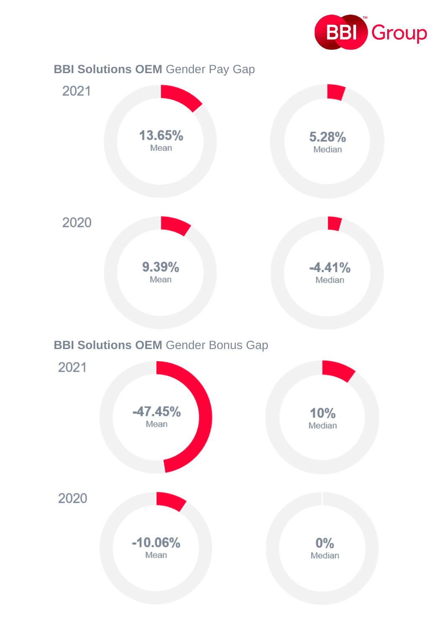

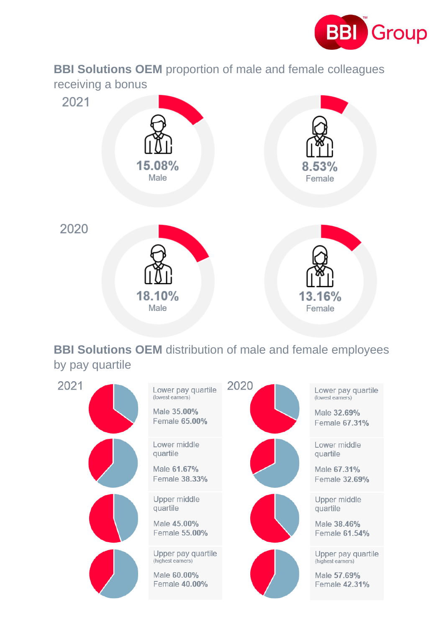

**BBI Solutions OEM** proportion of male and female colleagues receiving a bonus



#### **BBI Solutions OEM** distribution of male and female employees by pay quartile

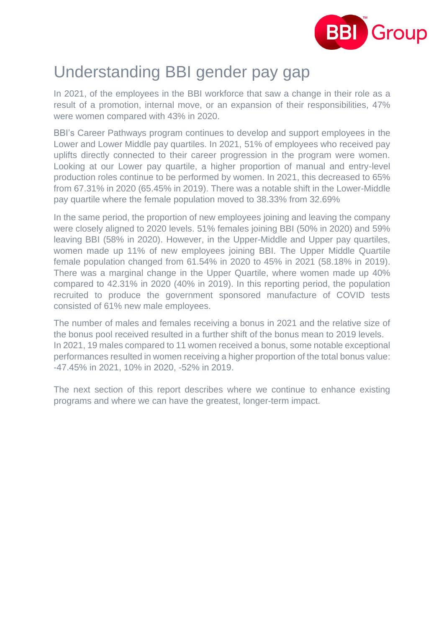

#### Understanding BBI gender pay gap

In 2021, of the employees in the BBI workforce that saw a change in their role as a result of a promotion, internal move, or an expansion of their responsibilities, 47% were women compared with 43% in 2020.

BBI's Career Pathways program continues to develop and support employees in the Lower and Lower Middle pay quartiles. In 2021, 51% of employees who received pay uplifts directly connected to their career progression in the program were women. Looking at our Lower pay quartile, a higher proportion of manual and entry-level production roles continue to be performed by women. In 2021, this decreased to 65% from 67.31% in 2020 (65.45% in 2019). There was a notable shift in the Lower-Middle pay quartile where the female population moved to 38.33% from 32.69%

In the same period, the proportion of new employees joining and leaving the company were closely aligned to 2020 levels. 51% females joining BBI (50% in 2020) and 59% leaving BBI (58% in 2020). However, in the Upper-Middle and Upper pay quartiles, women made up 11% of new employees joining BBI. The Upper Middle Quartile female population changed from 61.54% in 2020 to 45% in 2021 (58.18% in 2019). There was a marginal change in the Upper Quartile, where women made up 40% compared to 42.31% in 2020 (40% in 2019). In this reporting period, the population recruited to produce the government sponsored manufacture of COVID tests consisted of 61% new male employees.

The number of males and females receiving a bonus in 2021 and the relative size of the bonus pool received resulted in a further shift of the bonus mean to 2019 levels. In 2021, 19 males compared to 11 women received a bonus, some notable exceptional performances resulted in women receiving a higher proportion of the total bonus value: -47.45% in 2021, 10% in 2020, -52% in 2019.

The next section of this report describes where we continue to enhance existing programs and where we can have the greatest, longer-term impact.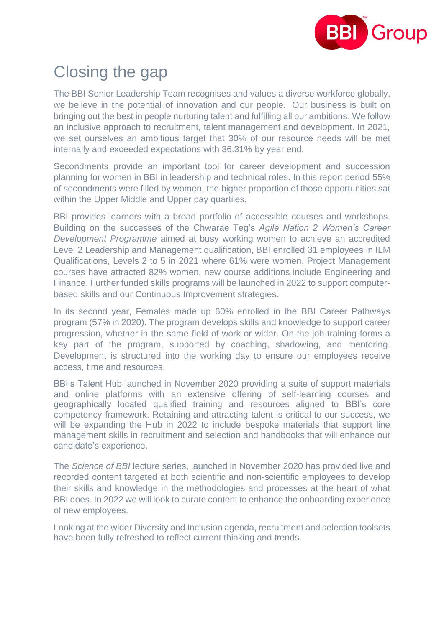

## Closing the gap

The BBI Senior Leadership Team recognises and values a diverse workforce globally, we believe in the potential of innovation and our people. Our business is built on bringing out the best in people nurturing talent and fulfilling all our ambitions. We follow an inclusive approach to recruitment, talent management and development. In 2021, we set ourselves an ambitious target that 30% of our resource needs will be met internally and exceeded expectations with 36.31% by year end.

Secondments provide an important tool for career development and succession planning for women in BBI in leadership and technical roles. In this report period 55% of secondments were filled by women, the higher proportion of those opportunities sat within the Upper Middle and Upper pay quartiles.

BBI provides learners with a broad portfolio of accessible courses and workshops. Building on the successes of the Chwarae Teg's *Agile Nation 2 Women's Career Development Programme* aimed at busy working women to achieve an accredited Level 2 Leadership and Management qualification, BBI enrolled 31 employees in ILM Qualifications, Levels 2 to 5 in 2021 where 61% were women. Project Management courses have attracted 82% women, new course additions include Engineering and Finance. Further funded skills programs will be launched in 2022 to support computerbased skills and our Continuous Improvement strategies.

In its second year, Females made up 60% enrolled in the BBI Career Pathways program (57% in 2020). The program develops skills and knowledge to support career progression, whether in the same field of work or wider. On-the-job training forms a key part of the program, supported by coaching, shadowing, and mentoring. Development is structured into the working day to ensure our employees receive access, time and resources.

BBI's Talent Hub launched in November 2020 providing a suite of support materials and online platforms with an extensive offering of self-learning courses and geographically located qualified training and resources aligned to BBI's core competency framework. Retaining and attracting talent is critical to our success, we will be expanding the Hub in 2022 to include bespoke materials that support line management skills in recruitment and selection and handbooks that will enhance our candidate's experience.

The *Science of BBI* lecture series, launched in November 2020 has provided live and recorded content targeted at both scientific and non-scientific employees to develop their skills and knowledge in the methodologies and processes at the heart of what BBI does. In 2022 we will look to curate content to enhance the onboarding experience of new employees.

Looking at the wider Diversity and Inclusion agenda, recruitment and selection toolsets have been fully refreshed to reflect current thinking and trends.